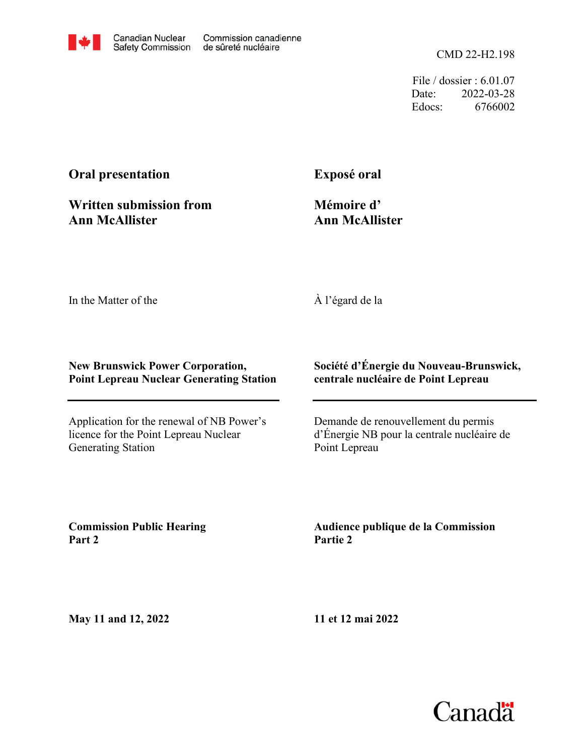

File / dossier : 6.01.07 Date: 2022-03-28 Edocs: 6766002

# **Oral presentation**

**Exposé oral**

**Written submission from Ann McAllister**

**Mémoire d' Ann McAllister**

In the Matter of the

À l'égard de la

#### **New Brunswick Power Corporation, Point Lepreau Nuclear Generating Station**

Application for the renewal of NB Power's licence for the Point Lepreau Nuclear Generating Station

### **Société d'Énergie du Nouveau-Brunswick, centrale nucléaire de Point Lepreau**

Demande de renouvellement du permis d'Énergie NB pour la centrale nucléaire de Point Lepreau

**Commission Public Hearing Part 2**

**Audience publique de la Commission Partie 2**

**May 11 and 12, 2022**

**11 et 12 mai 2022**

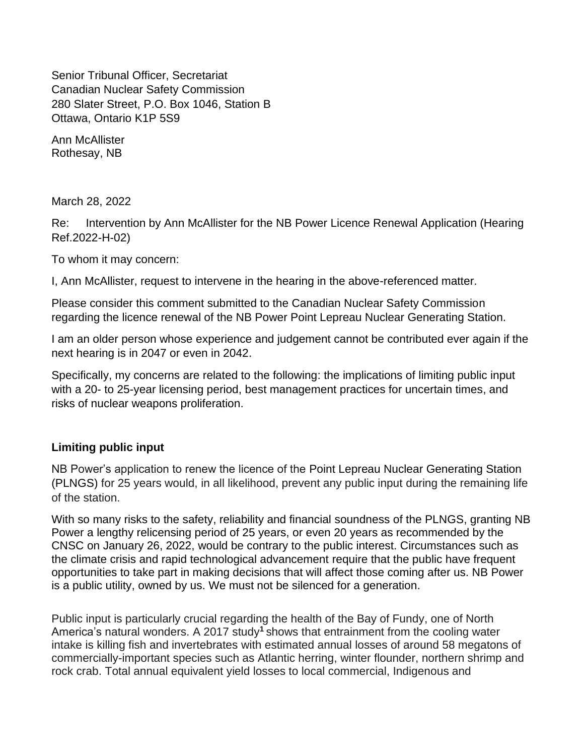Senior Tribunal Officer, Secretariat Canadian Nuclear Safety Commission 280 Slater Street, P.O. Box 1046, Station B Ottawa, Ontario K1P 5S9

Ann McAllister Rothesay, NB

March 28, 2022

Re: Intervention by Ann McAllister for the NB Power Licence Renewal Application (Hearing Ref.2022-H-02)

To whom it may concern:

I, Ann McAllister, request to intervene in the hearing in the above-referenced matter.

Please consider this comment submitted to the Canadian Nuclear Safety Commission regarding the licence renewal of the NB Power Point Lepreau Nuclear Generating Station.

I am an older person whose experience and judgement cannot be contributed ever again if the next hearing is in 2047 or even in 2042.

Specifically, my concerns are related to the following: the implications of limiting public input with a 20- to 25-year licensing period, best management practices for uncertain times, and risks of nuclear weapons proliferation.

### **Limiting public input**

NB Power's application to renew the licence of the Point Lepreau Nuclear Generating Station (PLNGS) for 25 years would, in all likelihood, prevent any public input during the remaining life of the station.

With so many risks to the safety, reliability and financial soundness of the PLNGS, granting NB Power a lengthy relicensing period of 25 years, or even 20 years as recommended by the CNSC on January 26, 2022, would be contrary to the public interest. Circumstances such as the climate crisis and rapid technological advancement require that the public have frequent opportunities to take part in making decisions that will affect those coming after us. NB Power is a public utility, owned by us. We must not be silenced for a generation.

Public input is particularly crucial regarding the health of the Bay of Fundy, one of North America's natural wonders. A 2017 study**<sup>1</sup>**shows that entrainment from the cooling water intake is killing fish and invertebrates with estimated annual losses of around 58 megatons of commercially-important species such as Atlantic herring, winter flounder, northern shrimp and rock crab. Total annual equivalent yield losses to local commercial, Indigenous and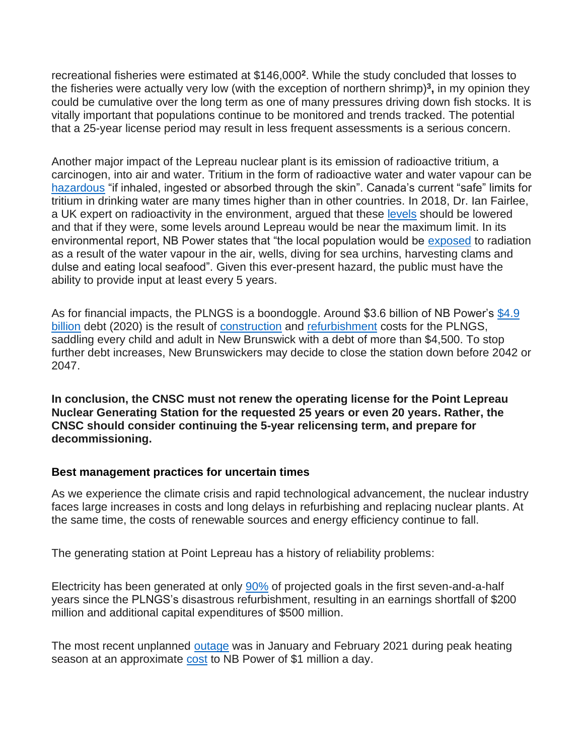recreational fisheries were estimated at \$146,000**<sup>2</sup>** . While the study concluded that losses to the fisheries were actually very low (with the exception of northern shrimp) **3 ,** in my opinion they could be cumulative over the long term as one of many pressures driving down fish stocks. It is vitally important that populations continue to be monitored and trends tracked. The potential that a 25-year license period may result in less frequent assessments is a serious concern.

Another major impact of the Lepreau nuclear plant is its emission of radioactive tritium, a carcinogen, into air and water. Tritium in the form of radioactive water and water vapour can be [hazardous](https://tj.news/greater-saint-john/101398426?) "if inhaled, ingested or absorbed through the skin". Canada's current "safe" limits for tritium in drinking water are many times higher than in other countries. In 2018, Dr. Ian Fairlee, a UK expert on radioactivity in the environment, argued that these [levels](https://tj.news/greater-saint-john/101398426?) should be lowered and that if they were, some levels around Lepreau would be near the maximum limit. In its environmental report, NB Power states that "the local population would be [exposed](https://tj.news/greater-saint-john/101398426?) to radiation as a result of the water vapour in the air, wells, diving for sea urchins, harvesting clams and dulse and eating local seafood". Given this ever-present hazard, the public must have the ability to provide input at least every 5 years.

As for financial impacts, the PLNGS is a boondoggle. Around \$3.6 billion of NB Power's  $$4.9$ [billion](https://www.cbc.ca/news/canada/new-brunswick/nbpower-debt-electricity-utility-crowncorporation-1.5924830) debt (2020) is the result of [construction](https://en.wikipedia.org/wiki/Point_Lepreau_Nuclear_Generating_Station) and [refurbishment](https://www.agnb-vgnb.ca/content/dam/agnb-vgnb/pdf/Reports-Rapports/2014V2/Chap2e.pdf) costs for the PLNGS, saddling every child and adult in New Brunswick with a debt of more than \$4,500. To stop further debt increases, New Brunswickers may decide to close the station down before 2042 or 2047.

**In conclusion, the CNSC must not renew the operating license for the Point Lepreau Nuclear Generating Station for the requested 25 years or even 20 years. Rather, the CNSC should consider continuing the 5-year relicensing term, and prepare for decommissioning.**

### **Best management practices for uncertain times**

As we experience the climate crisis and rapid technological advancement, the nuclear industry faces large increases in costs and long delays in refurbishing and replacing nuclear plants. At the same time, the costs of renewable sources and energy efficiency continue to fall.

The generating station at Point Lepreau has a history of reliability problems:

Electricity has been generated at only [90%](https://www.cbc.ca/news/canada/new-brunswick/lepreau-nbpower-nuclear-plant-1.5890989) of projected goals in the first seven-and-a-half years since the PLNGS's disastrous refurbishment, resulting in an earnings shortfall of \$200 million and additional capital expenditures of \$500 million.

The most recent unplanned [outage](https://www.cbc.ca/news/canada/new-brunswick/nbpower-debt-electricity-utility-crowncorporation-1.5924830) was in January and February 2021 during peak heating season at an approximate [cost](https://www.cbc.ca/news/canada/new-brunswick/nbpower-debt-electricity-utility-crowncorporation-1.5924830) to NB Power of \$1 million a day.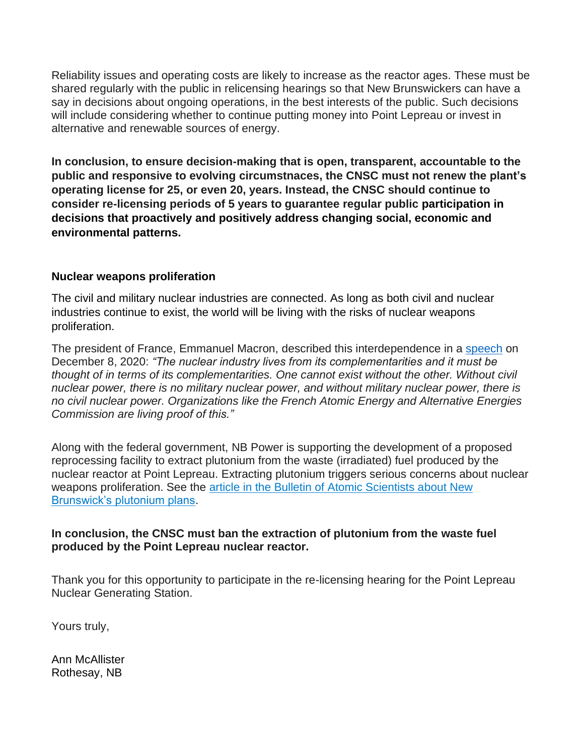Reliability issues and operating costs are likely to increase as the reactor ages. These must be shared regularly with the public in relicensing hearings so that New Brunswickers can have a say in decisions about ongoing operations, in the best interests of the public. Such decisions will include considering whether to continue putting money into Point Lepreau or invest in alternative and renewable sources of energy.

**In conclusion, to ensure decision-making that is open, transparent, accountable to the public and responsive to evolving circumstnaces, the CNSC must not renew the plant's operating license for 25, or even 20, years. Instead, the CNSC should continue to consider re-licensing periods of 5 years to guarantee regular public participation in decisions that proactively and positively address changing social, economic and environmental patterns.**

## **Nuclear weapons proliferation**

The civil and military nuclear industries are connected. As long as both civil and nuclear industries continue to exist, the world will be living with the risks of nuclear weapons proliferation.

The president of France, Emmanuel Macron, described this interdependence in a [speech](https://www.elysee.fr/front/pdf/elysee-module-16825-fr.pdf) on December 8, 2020: *"The nuclear industry lives from its complementarities and it must be thought of in terms of its complementarities. One cannot exist without the other. Without civil nuclear power, there is no military nuclear power, and without military nuclear power, there is no civil nuclear power. Organizations like the French Atomic Energy and Alternative Energies Commission are living proof of this."*

Along with the federal government, NB Power is supporting the development of a proposed reprocessing facility to extract plutonium from the waste (irradiated) fuel produced by the nuclear reactor at Point Lepreau. Extracting plutonium triggers serious concerns about nuclear weapons proliferation. See the [article in the Bulletin of Atomic Scientists about New](https://thebulletin.org/2021/07/will-canada-remain-a-credible-nonproliferation-partner/)  [Brunswick's plutonium plans.](https://thebulletin.org/2021/07/will-canada-remain-a-credible-nonproliferation-partner/)

### **In conclusion, the CNSC must ban the extraction of plutonium from the waste fuel produced by the Point Lepreau nuclear reactor.**

Thank you for this opportunity to participate in the re-licensing hearing for the Point Lepreau Nuclear Generating Station.

Yours truly,

Ann McAllister Rothesay, NB